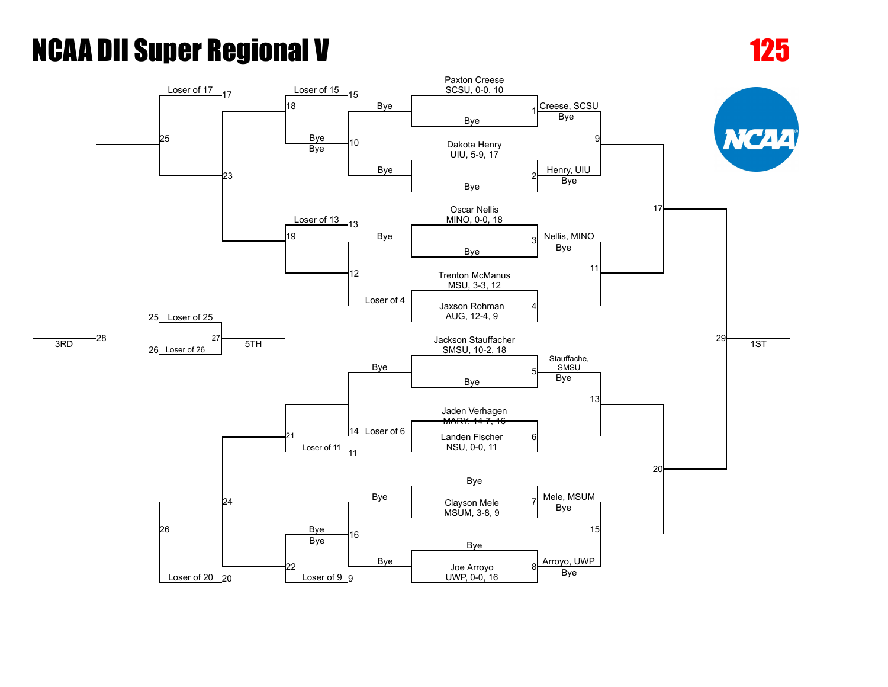Loser of 20 20

Loser of 9 9

UWP, 0-0, 16 20 9 Bye

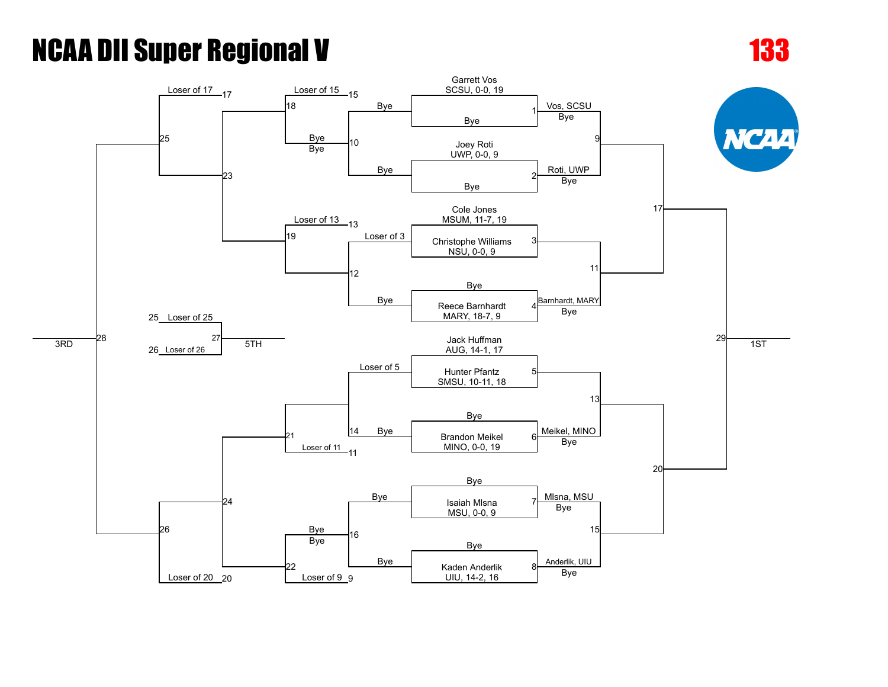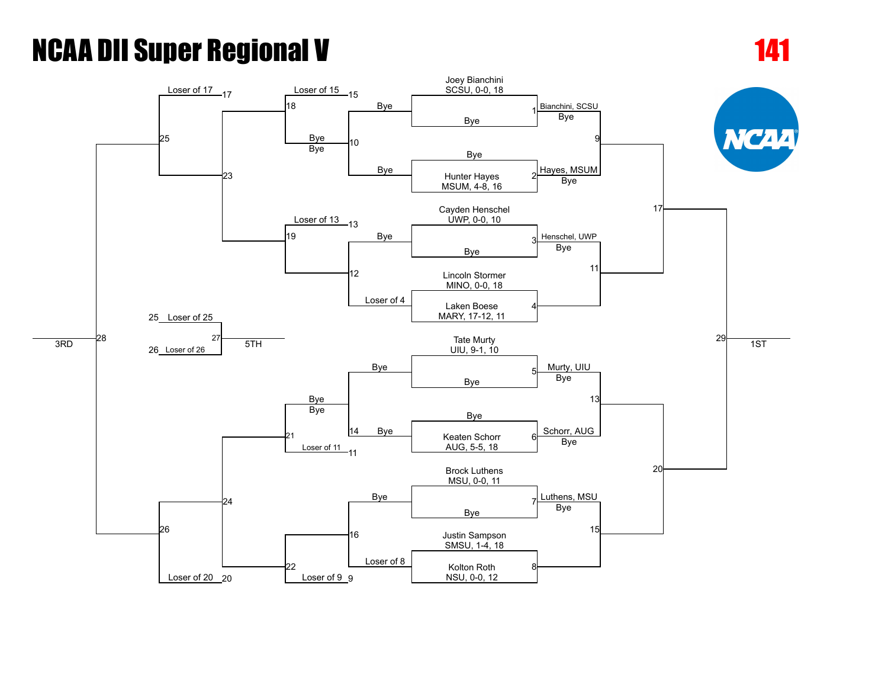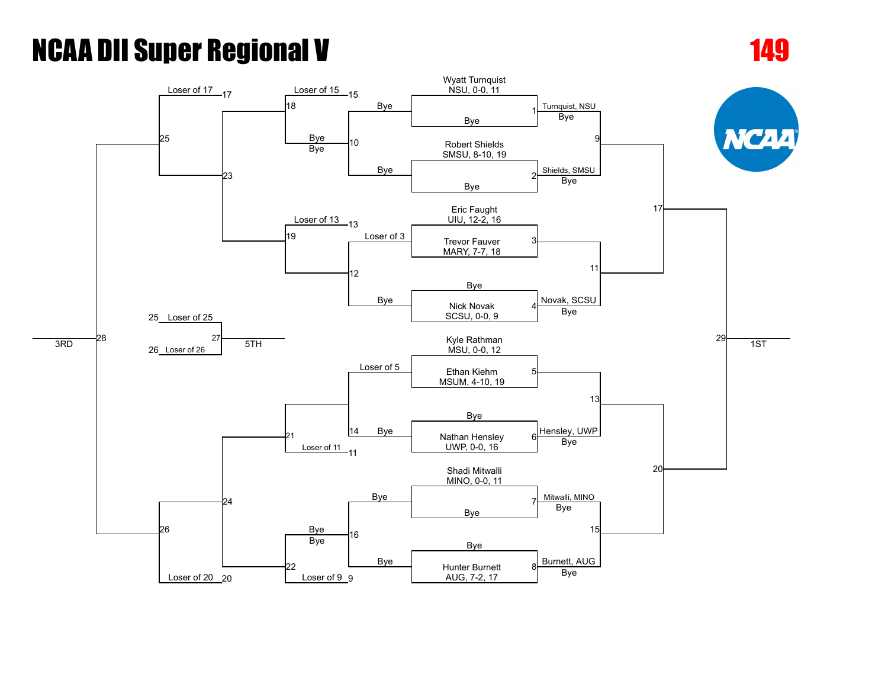

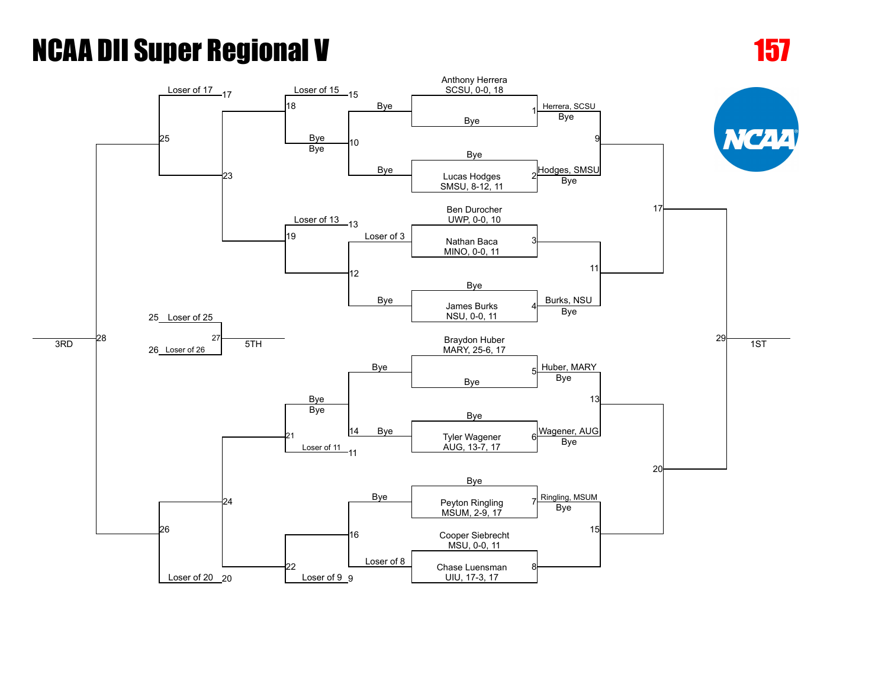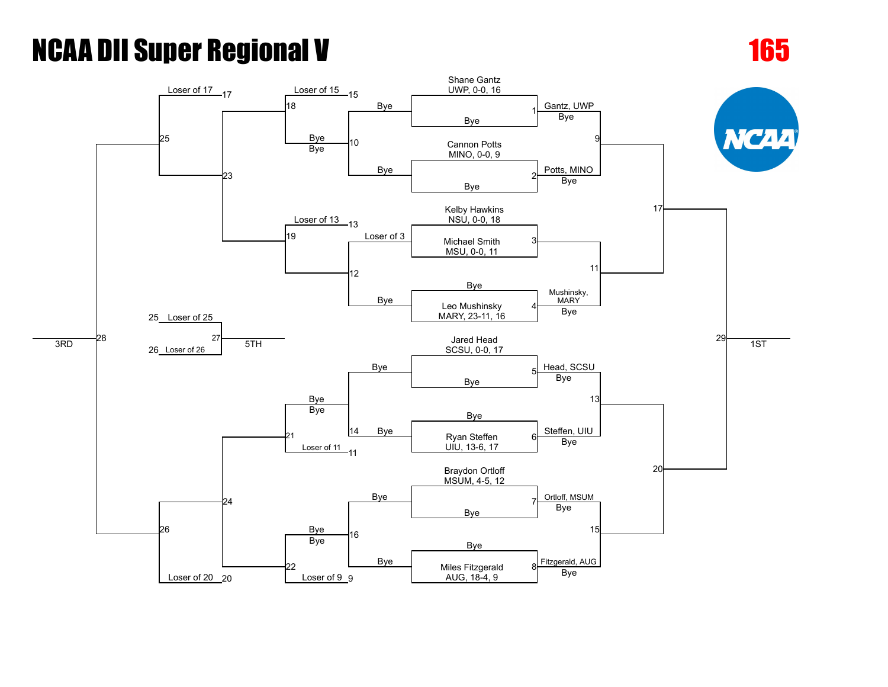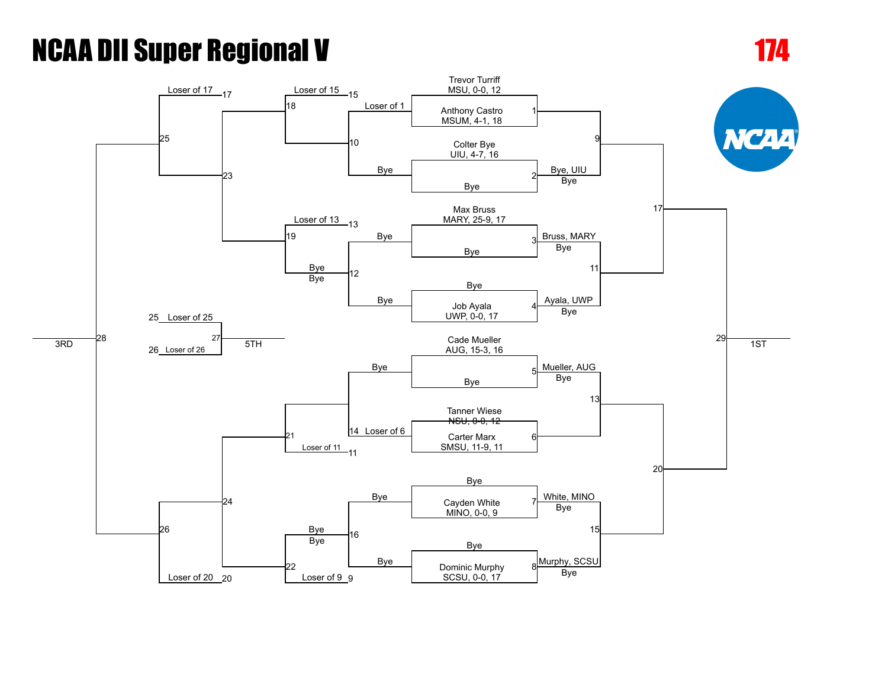[25](javascript:openBoutSheet(25,)

Loser of 20 20





Loser of 9 9

SCSU, 0-0, 17 20 9 Bye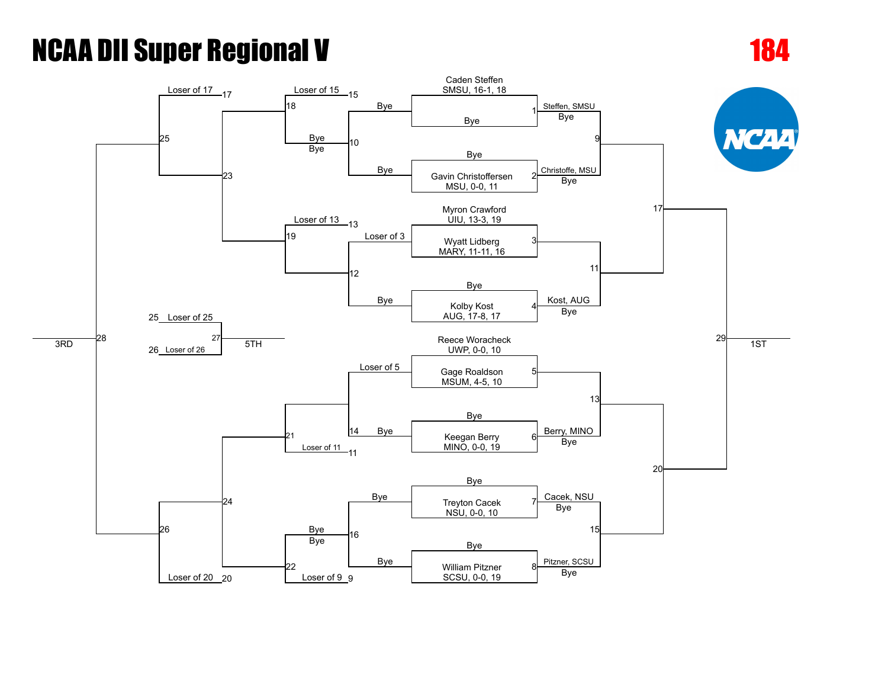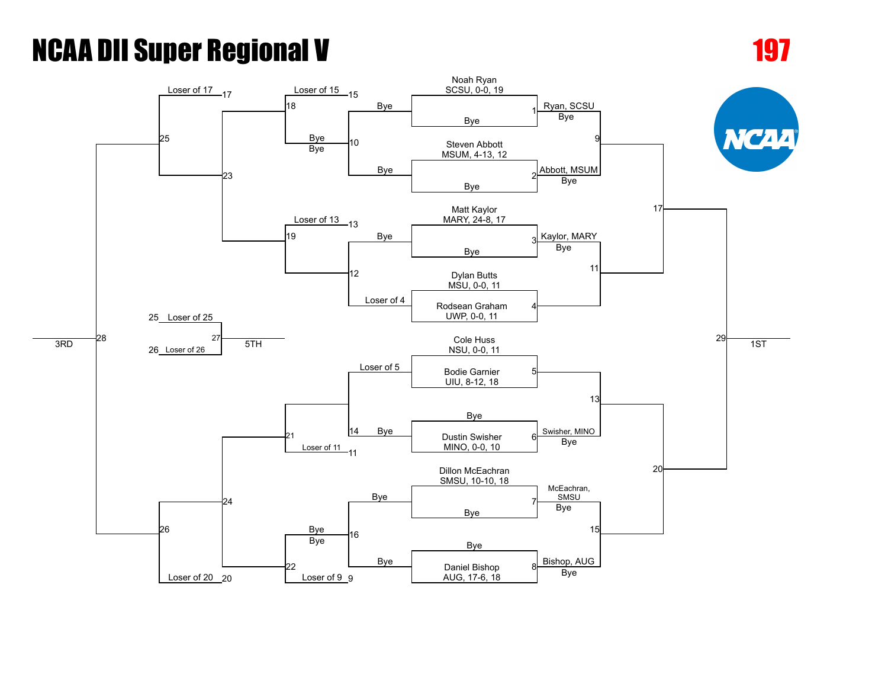